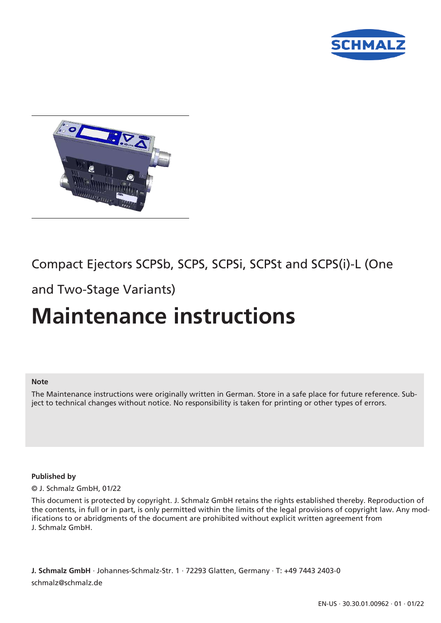



# Compact Ejectors SCPSb, SCPS, SCPSi, SCPSt and SCPS(i)-L (One

and Two-Stage Variants)

# **Maintenance instructions**

#### **Note**

The Maintenance instructions were originally written in German. Store in a safe place for future reference. Subject to technical changes without notice. No responsibility is taken for printing or other types of errors.

#### **Published by**

© J. Schmalz GmbH, 01/22

This document is protected by copyright. J. Schmalz GmbH retains the rights established thereby. Reproduction of the contents, in full or in part, is only permitted within the limits of the legal provisions of copyright law. Any modifications to or abridgments of the document are prohibited without explicit written agreement from J. Schmalz GmbH.

**J. Schmalz GmbH** · Johannes-Schmalz-Str. 1 · 72293 Glatten, Germany · T: +49 7443 2403-0 schmalz@schmalz.de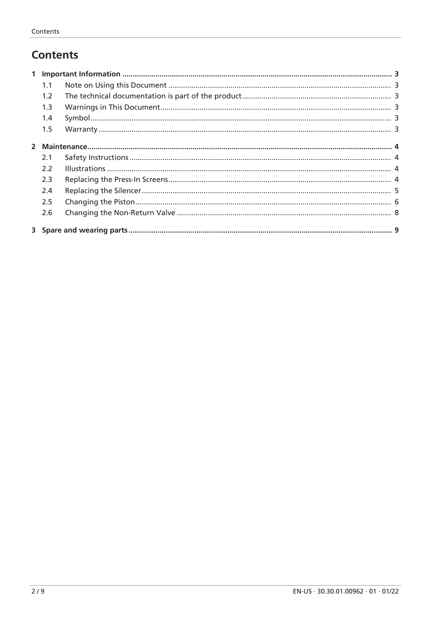# **Contents**

| 1.1 |  |  |  |
|-----|--|--|--|
| 1.2 |  |  |  |
| 1.3 |  |  |  |
| 1.4 |  |  |  |
| 1.5 |  |  |  |
|     |  |  |  |
| 2.1 |  |  |  |
| 2.2 |  |  |  |
| 2.3 |  |  |  |
| 2.4 |  |  |  |
| 2.5 |  |  |  |
| 2.6 |  |  |  |
|     |  |  |  |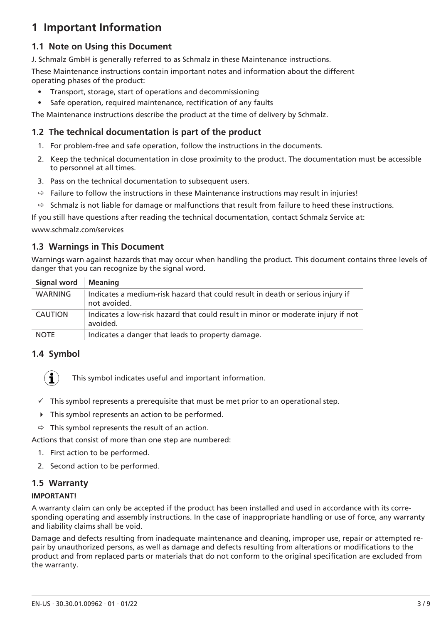# <span id="page-2-0"></span>**1 Important Information**

### <span id="page-2-1"></span>**1.1 Note on Using this Document**

J. Schmalz GmbH is generally referred to as Schmalz in these Maintenance instructions.

These Maintenance instructions contain important notes and information about the different operating phases of the product:

- Transport, storage, start of operations and decommissioning
- Safe operation, required maintenance, rectification of any faults

The Maintenance instructions describe the product at the time of delivery by Schmalz.

### <span id="page-2-2"></span>**1.2 The technical documentation is part of the product**

- 1. For problem-free and safe operation, follow the instructions in the documents.
- 2. Keep the technical documentation in close proximity to the product. The documentation must be accessible to personnel at all times.
- 3. Pass on the technical documentation to subsequent users.
- $\Rightarrow$  Failure to follow the instructions in these Maintenance instructions may result in injuries!
- $\Rightarrow$  Schmalz is not liable for damage or malfunctions that result from failure to heed these instructions.

If you still have questions after reading the technical documentation, contact Schmalz Service at:

www.schmalz.com/services

#### <span id="page-2-3"></span>**1.3 Warnings in This Document**

Warnings warn against hazards that may occur when handling the product. This document contains three levels of danger that you can recognize by the signal word.

| Signal word    | <b>Meaning</b>                                                                                 |
|----------------|------------------------------------------------------------------------------------------------|
| WARNING        | Indicates a medium-risk hazard that could result in death or serious injury if<br>not avoided. |
| <b>CAUTION</b> | Indicates a low-risk hazard that could result in minor or moderate injury if not<br>avoided.   |
| <b>NOTE</b>    | Indicates a danger that leads to property damage.                                              |

#### <span id="page-2-4"></span>**1.4 Symbol**



This symbol indicates useful and important information.

- $\checkmark$  This symbol represents a prerequisite that must be met prior to an operational step.
- $\triangleright$  This symbol represents an action to be performed.
- $\Rightarrow$  This symbol represents the result of an action.

Actions that consist of more than one step are numbered:

- 1. First action to be performed.
- 2. Second action to be performed.

### <span id="page-2-5"></span>**1.5 Warranty**

#### **IMPORTANT!**

A warranty claim can only be accepted if the product has been installed and used in accordance with its corresponding operating and assembly instructions. In the case of inappropriate handling or use of force, any warranty and liability claims shall be void.

Damage and defects resulting from inadequate maintenance and cleaning, improper use, repair or attempted repair by unauthorized persons, as well as damage and defects resulting from alterations or modifications to the product and from replaced parts or materials that do not conform to the original specification are excluded from the warranty.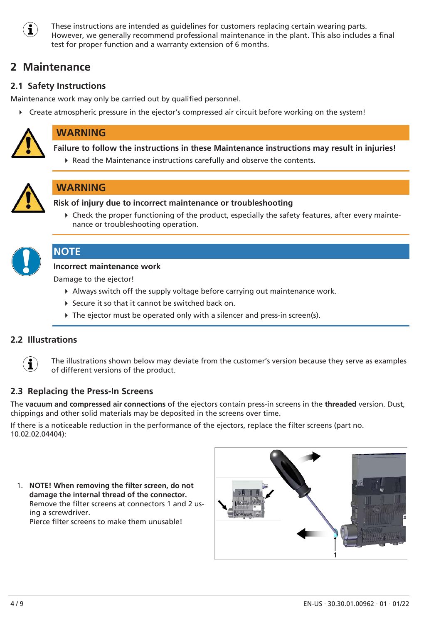

These instructions are intended as guidelines for customers replacing certain wearing parts. However, we generally recommend professional maintenance in the plant. This also includes a final test for proper function and a warranty extension of 6 months.

# <span id="page-3-0"></span>**2 Maintenance**

### <span id="page-3-1"></span>**2.1 Safety Instructions**

Maintenance work may only be carried out by qualified personnel.

4 Create atmospheric pressure in the ejector's compressed air circuit before working on the system!



# **WARNING**

**Failure to follow the instructions in these Maintenance instructions may result in injuries!**

▶ Read the Maintenance instructions carefully and observe the contents.



### **WARNING**

**Risk of injury due to incorrect maintenance or troubleshooting**

4 Check the proper functioning of the product, especially the safety features, after every maintenance or troubleshooting operation.



### **NOTE**

#### **Incorrect maintenance work**

Damage to the ejector!

- 4 Always switch off the supply voltage before carrying out maintenance work.
- ▶ Secure it so that it cannot be switched back on.
- $\triangleright$  The ejector must be operated only with a silencer and press-in screen(s).

### <span id="page-3-2"></span>**2.2 Illustrations**



The illustrations shown below may deviate from the customer's version because they serve as examples of different versions of the product.

### <span id="page-3-3"></span>**2.3 Replacing the Press-In Screens**

The **vacuum and compressed air connections** of the ejectors contain press-in screens in the **threaded** version. Dust, chippings and other solid materials may be deposited in the screens over time.

If there is a noticeable reduction in the performance of the ejectors, replace the filter screens (part no. 10.02.02.04404):

1. **NOTE! When removing the filter screen, do not damage the internal thread of the connector.** Remove the filter screens at connectors 1 and 2 using a screwdriver. Pierce filter screens to make them unusable!

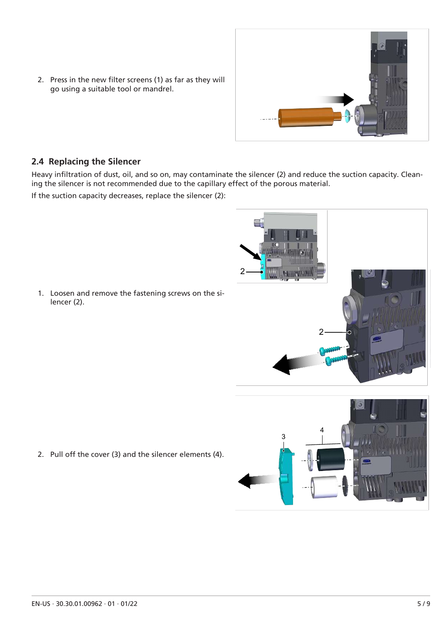2. Press in the new filter screens (1) as far as they will go using a suitable tool or mandrel.



### <span id="page-4-0"></span>**2.4 Replacing the Silencer**

Heavy infiltration of dust, oil, and so on, may contaminate the silencer (2) and reduce the suction capacity. Cleaning the silencer is not recommended due to the capillary effect of the porous material.

If the suction capacity decreases, replace the silencer (2):

1. Loosen and remove the fastening screws on the silencer (2).





2. Pull off the cover (3) and the silencer elements (4).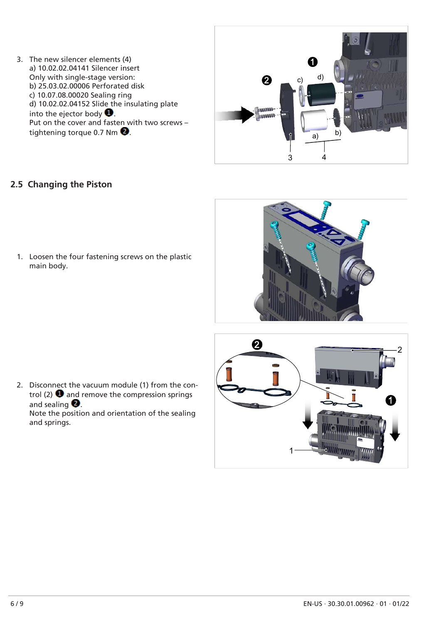3. The new silencer elements (4) a) 10.02.02.04141 Silencer insert Only with single-stage version: b) 25.03.02.00006 Perforated disk c) 10.07.08.00020 Sealing ring d) 10.02.02.04152 Slide the insulating plate into the ejector body  $\bullet$ . Put on the cover and fasten with two screws – tightening torque 0.7 Nm  $\bullet$ .



### <span id="page-5-0"></span>**2.5 Changing the Piston**

1. Loosen the four fastening screws on the plastic main body.





 $\boldsymbol{Q}$ 

2. Disconnect the vacuum module (1) from the control (2)  $\bullet$  and remove the compression springs and sealing  $\bullet$ Note the position and orientation of the sealing

and springs.

2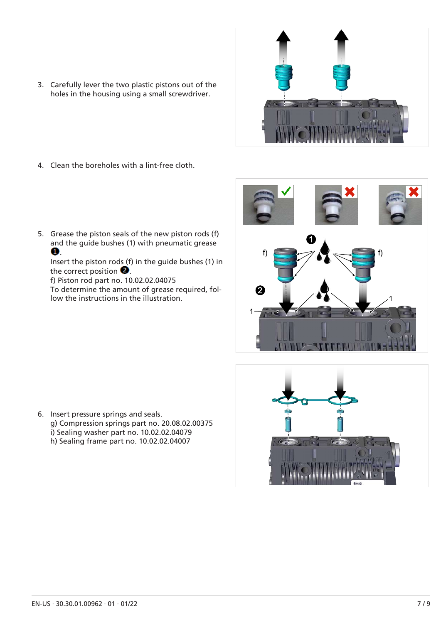3. Carefully lever the two plastic pistons out of the holes in the housing using a small screwdriver.



- 4. Clean the boreholes with a lint-free cloth.
- 5. Grease the piston seals of the new piston rods (f) and the guide bushes (1) with pneumatic grease  $\bullet$

Insert the piston rods (f) in the guide bushes (1) in the correct position  $\bullet$ .

f) Piston rod part no. 10.02.02.04075 To determine the amount of grease required, follow the instructions in the illustration.





6. Insert pressure springs and seals. g) Compression springs part no. 20.08.02.00375 i) Sealing washer part no. 10.02.02.04079 h) Sealing frame part no. 10.02.02.04007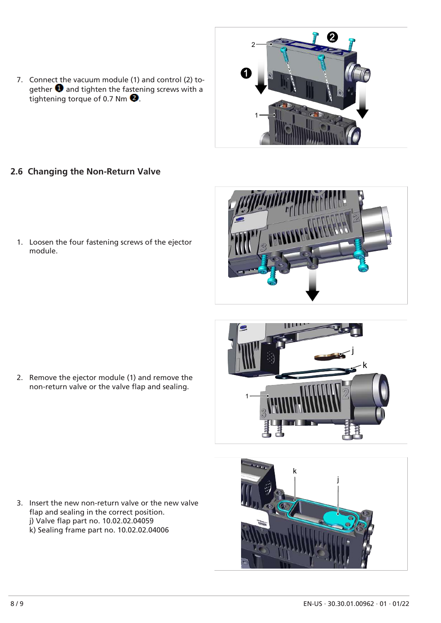- 7. Connect the vacuum module (1) and control (2) together  $\bullet$  and tighten the fastening screws with a tightening torque of 0.7 Nm  $\bullet$ .
- 1 1

2

2

- <span id="page-7-0"></span>**2.6 Changing the Non-Return Valve**
	- 1. Loosen the four fastening screws of the ejector module.



1 j k

k

j

2. Remove the ejector module (1) and remove the non-return valve or the valve flap and sealing.

3. Insert the new non-return valve or the new valve flap and sealing in the correct position. j) Valve flap part no. 10.02.02.04059 k) Sealing frame part no. 10.02.02.04006